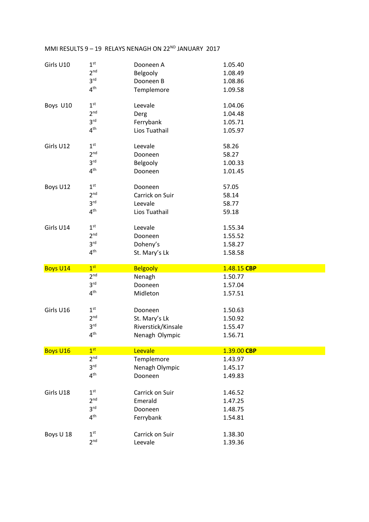| Girls U10       | 1 <sup>st</sup> | Dooneen A          | 1.05.40     |  |
|-----------------|-----------------|--------------------|-------------|--|
|                 | 2 <sup>nd</sup> | Belgooly           | 1.08.49     |  |
|                 | 3 <sup>rd</sup> | Dooneen B          | 1.08.86     |  |
|                 | 4 <sup>th</sup> | Templemore         | 1.09.58     |  |
|                 |                 |                    |             |  |
| Boys U10        | 1 <sup>st</sup> | Leevale            | 1.04.06     |  |
|                 | 2 <sup>nd</sup> | Derg               | 1.04.48     |  |
|                 | 3 <sup>rd</sup> | Ferrybank          | 1.05.71     |  |
|                 | 4 <sup>th</sup> | Lios Tuathail      | 1.05.97     |  |
|                 |                 |                    |             |  |
| Girls U12       | 1 <sup>st</sup> | Leevale            | 58.26       |  |
|                 | 2 <sup>nd</sup> | Dooneen            | 58.27       |  |
|                 | 3 <sup>rd</sup> | Belgooly           | 1.00.33     |  |
|                 | 4 <sup>th</sup> | Dooneen            | 1.01.45     |  |
|                 |                 |                    |             |  |
| Boys U12        | 1 <sup>st</sup> | Dooneen            | 57.05       |  |
|                 | 2 <sup>nd</sup> | Carrick on Suir    | 58.14       |  |
|                 | 3 <sup>rd</sup> | Leevale            | 58.77       |  |
|                 | 4 <sup>th</sup> | Lios Tuathail      | 59.18       |  |
|                 |                 |                    |             |  |
| Girls U14       | 1 <sup>st</sup> | Leevale            | 1.55.34     |  |
|                 | 2 <sup>nd</sup> | Dooneen            | 1.55.52     |  |
|                 | 3 <sup>rd</sup> | Doheny's           | 1.58.27     |  |
|                 | 4 <sup>th</sup> | St. Mary's Lk      | 1.58.58     |  |
|                 |                 |                    |             |  |
| <b>Boys U14</b> | 1 <sup>st</sup> | <b>Belgooly</b>    | 1.48.15 CBP |  |
|                 | 2 <sup>nd</sup> | Nenagh             | 1.50.77     |  |
|                 | 3 <sup>rd</sup> | Dooneen            | 1.57.04     |  |
|                 | 4 <sup>th</sup> | Midleton           | 1.57.51     |  |
|                 |                 |                    |             |  |
| Girls U16       | 1 <sup>st</sup> | Dooneen            | 1.50.63     |  |
|                 | 2 <sup>nd</sup> | St. Mary's Lk      | 1.50.92     |  |
|                 | 3 <sup>rd</sup> | Riverstick/Kinsale | 1.55.47     |  |
|                 | $4^{\text{th}}$ | Nenagh Olympic     | 1.56.71     |  |
|                 |                 |                    |             |  |
| <b>Boys U16</b> | 1 <sup>st</sup> | Leevale            | 1.39.00 CBP |  |
|                 | 2 <sup>nd</sup> | Templemore         | 1.43.97     |  |
|                 | 3 <sup>rd</sup> | Nenagh Olympic     | 1.45.17     |  |
|                 | 4 <sup>th</sup> | Dooneen            | 1.49.83     |  |
|                 |                 |                    |             |  |
| Girls U18       | 1 <sup>st</sup> | Carrick on Suir    | 1.46.52     |  |
|                 | 2 <sup>nd</sup> | Emerald            | 1.47.25     |  |
|                 | 3 <sup>rd</sup> | Dooneen            | 1.48.75     |  |
|                 | 4 <sup>th</sup> | Ferrybank          | 1.54.81     |  |
|                 |                 |                    |             |  |
| Boys U 18       | 1 <sup>st</sup> | Carrick on Suir    | 1.38.30     |  |
|                 | 2 <sup>nd</sup> | Leevale            | 1.39.36     |  |
|                 |                 |                    |             |  |

## MMI RESULTS  $9 - 19$  RELAYS NENAGH ON  $22^{ND}$  JANUARY 2017